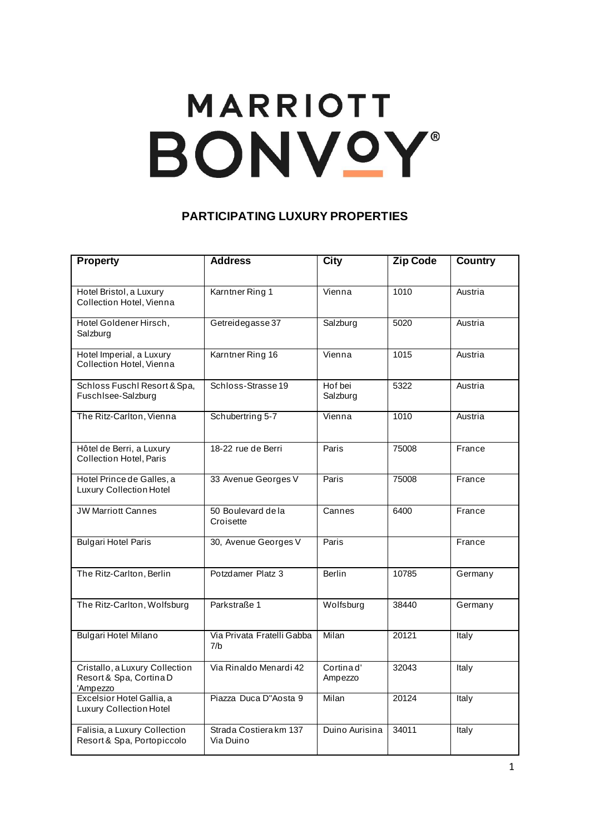## **MARRIOTT** BONVOY®

## **PARTICIPATING LUXURY PROPERTIES**

| <b>Property</b>                                                       | <b>Address</b>                      | <b>City</b>          | Zip Code | <b>Country</b> |
|-----------------------------------------------------------------------|-------------------------------------|----------------------|----------|----------------|
| Hotel Bristol, a Luxury<br>Collection Hotel, Vienna                   | Karntner Ring 1                     | Vienna               | 1010     | Austria        |
| Hotel Goldener Hirsch,<br>Salzburg                                    | Getreidegasse 37                    | Salzburg             | 5020     | Austria        |
| Hotel Imperial, a Luxury<br>Collection Hotel, Vienna                  | Karntner Ring 16                    | Vienna               | 1015     | Austria        |
| Schloss Fuschl Resort & Spa,<br>FuschIsee-Salzburg                    | Schloss-Strasse 19                  | Hof bei<br>Salzburg  | 5322     | Austria        |
| The Ritz-Carlton, Vienna                                              | Schubertring 5-7                    | Vienna               | 1010     | Austria        |
| Hôtel de Berri, a Luxury<br>Collection Hotel, Paris                   | 18-22 rue de Berri                  | Paris                | 75008    | France         |
| Hotel Prince de Galles, a<br><b>Luxury Collection Hotel</b>           | 33 Avenue Georges V                 | Paris                | 75008    | France         |
| <b>JW Marriott Cannes</b>                                             | 50 Boulevard de la<br>Croisette     | Cannes               | 6400     | France         |
| <b>Bulgari Hotel Paris</b>                                            | 30, Avenue Georges V                | Paris                |          | France         |
| The Ritz-Carlton, Berlin                                              | Potzdamer Platz 3                   | <b>Berlin</b>        | 10785    | Germany        |
| The Ritz-Carlton, Wolfsburg                                           | Parkstraße 1                        | Wolfsburg            | 38440    | Germany        |
| <b>Bulgari Hotel Milano</b>                                           | Via Privata Fratelli Gabba<br>7/b   | Milan                | 20121    | Italy          |
| Cristallo, a Luxury Collection<br>Resort & Spa, Cortina D<br>'Ampezzo | Via Rinaldo Menardi 42              | Cortinad'<br>Ampezzo | 32043    | Italy          |
| Excelsior Hotel Gallia, a<br><b>Luxury Collection Hotel</b>           | Piazza Duca D"Aosta 9               | Milan                | 20124    | Italy          |
| Falisia, a Luxury Collection<br>Resort & Spa, Portopiccolo            | Strada Costiera km 137<br>Via Duino | Duino Aurisina       | 34011    | Italy          |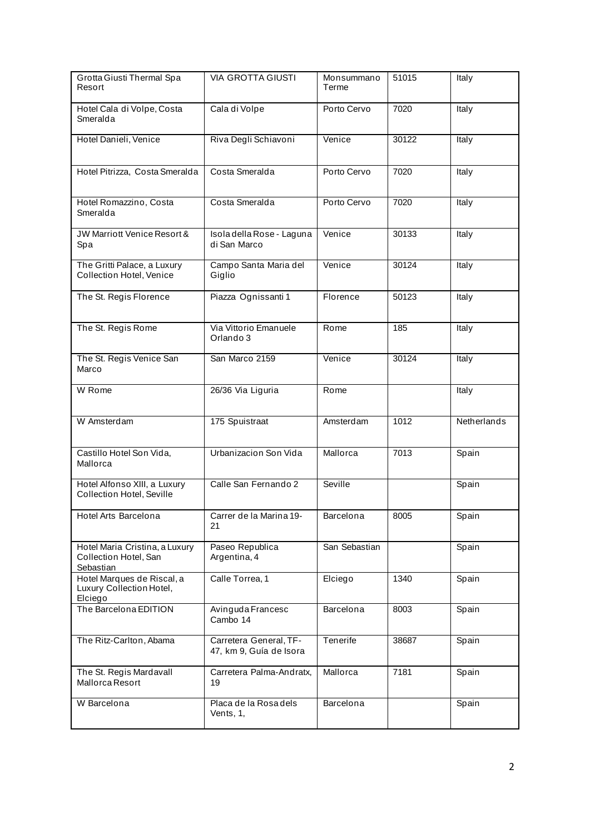| Grotta Giusti Thermal Spa<br>Resort                                  | <b>VIA GROTTA GIUSTI</b>                          | Monsummano<br>Terme | 51015 | Italy       |
|----------------------------------------------------------------------|---------------------------------------------------|---------------------|-------|-------------|
| Hotel Cala di Volpe, Costa<br>Smeralda                               | Cala di Volpe                                     | Porto Cervo         | 7020  | Italy       |
| Hotel Danieli, Venice                                                | Riva Degli Schiavoni                              | Venice              | 30122 | Italy       |
| Hotel Pitrizza, Costa Smeralda                                       | Costa Smeralda                                    | Porto Cervo         | 7020  | Italy       |
| Hotel Romazzino, Costa<br>Smeralda                                   | Costa Smeralda                                    | Porto Cervo         | 7020  | Italy       |
| JW Marriott Venice Resort &<br>Spa                                   | Isola della Rose - Laguna<br>di San Marco         | Venice              | 30133 | Italy       |
| The Gritti Palace, a Luxury<br>Collection Hotel, Venice              | Campo Santa Maria del<br>Giglio                   | Venice              | 30124 | Italy       |
| The St. Regis Florence                                               | Piazza Ognissanti 1                               | Florence            | 50123 | Italy       |
| The St. Regis Rome                                                   | Via Vittorio Emanuele<br>Orlando 3                | Rome                | 185   | Italy       |
| The St. Regis Venice San<br>Marco                                    | San Marco 2159                                    | Venice              | 30124 | Italy       |
| W Rome                                                               | 26/36 Via Liguria                                 | Rome                |       | Italy       |
| W Amsterdam                                                          | 175 Spuistraat                                    | Amsterdam           | 1012  | Netherlands |
| Castillo Hotel Son Vida,<br>Mallorca                                 | Urbanizacion Son Vida                             | Mallorca            | 7013  | Spain       |
| Hotel Alfonso XIII, a Luxury<br>Collection Hotel, Seville            | Calle San Fernando 2                              | Seville             |       | Spain       |
| Hotel Arts Barcelona                                                 | Carrer de la Marina 19-<br>21                     | Barcelona           | 8005  | Spain       |
| Hotel Maria Cristina, a Luxury<br>Collection Hotel, San<br>Sebastian | Paseo Republica<br>Argentina, 4                   | San Sebastian       |       | Spain       |
| Hotel Marques de Riscal, a<br>Luxury Collection Hotel,<br>Elciego    | Calle Torrea, 1                                   | Elciego             | 1340  | Spain       |
| The Barcelona EDITION                                                | Avinguda Francesc<br>Cambo 14                     | Barcelona           | 8003  | Spain       |
| The Ritz-Carlton, Abama                                              | Carretera General, TF-<br>47, km 9, Guía de Isora | Tenerife            | 38687 | Spain       |
| The St. Regis Mardavall<br>Mallorca Resort                           | Carretera Palma-Andratx,<br>19                    | Mallorca            | 7181  | Spain       |
| W Barcelona                                                          | Placa de la Rosa dels<br>Vents, 1,                | Barcelona           |       | Spain       |